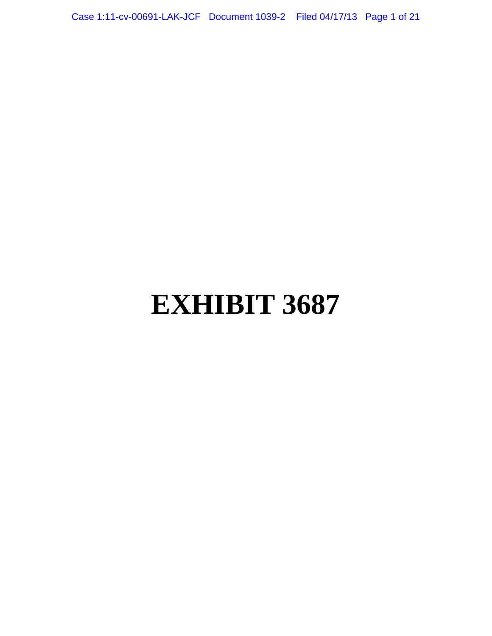Case 1:11-cv-00691-LAK-JCF Document 1039-2 Filed 04/17/13 Page 1 of 21

# **EXHIBIT 3687**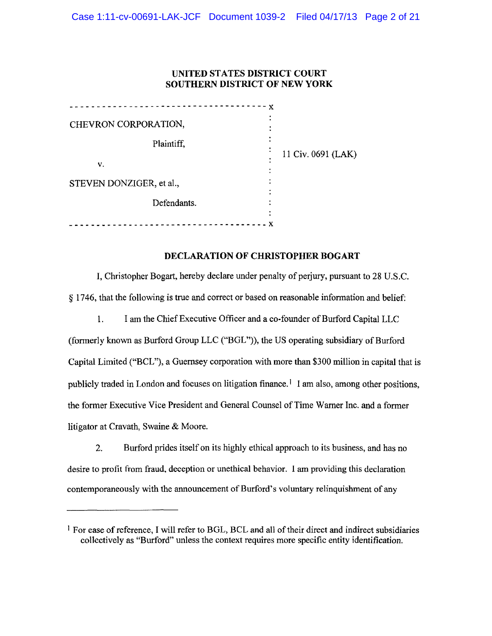# UNITED STATES DISTRICT COURT SOUTHERN DISTRICT OF NEW YORK

| x                        |                    |
|--------------------------|--------------------|
| CHEVRON CORPORATION,     |                    |
| Plaintiff,               | 11 Civ. 0691 (LAK) |
| v.                       |                    |
| STEVEN DONZIGER, et al., |                    |
| Defendants.              |                    |
|                          |                    |

## DECLARATION OF CHRISTOPHER BOGART

I, Christopher Bogart, hereby declare under penalty of perjury, pursuant to 28 U.S.C. § 1746, that the following is true and correct or based on reasonable information and belief:

1. I am the Chief Executive Officer and a co-founder of Burford Capital LLC (formerly known as Burford Group LLC ("BGL")), the US operating subsidiary of Burford Capital Limited ("BCL"), a Guernsey corporation with more than \$300 million in capital that is publicly traded in London and focuses on litigation finance.<sup>1</sup> I am also, among other positions, the former Executive Vice President and General Counsel of Time Warner Inc. and a former litigator at Cravath, Swaine & Moore.

2. Burford prides itself on its highly ethical approach to its business, and has no desire to profit from fraud, deception or unethical behavior. I am providing this declaration contemporaneously with the announcement of Burford's voluntary relinquishment of any

<sup>1</sup> For ease of reference, I will refer to BGL, BCL and all of their direct and indirect subsidiaries collectively as "Burford" unless the context requires more specific entity identification.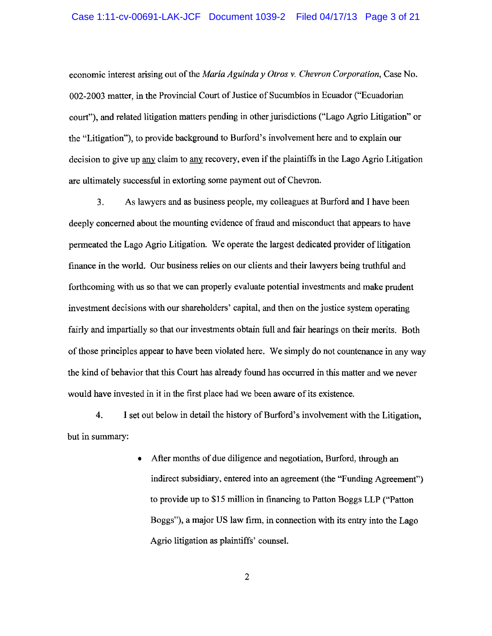#### Case 1:11-cv-00691-LAK-JCF Document 1039-2 Filed 04/17/13 Page 3 of 21

economic interest arising out of the *Maria Aguinda y Otros v. Chevron Corporation,* Case No. 002-2003 matter, in the Provincial Court of Justice of Sucumbios in Ecuador ("Ecuadorian court"), and related litigation matters pending in other jurisdictions ("Lago Agrio Litigation" or the "Litigation"), to provide background to Burford's involvement here and to explain our decision to give up any claim to any recovery, even if the plaintiffs in the Lago Agrio Litigation are ultimately successful in extorting some payment out of Chevron.

3. As lawyers and as business people, my colleagues at Burford and I have been deeply concerned about the mounting evidence of fraud and misconduct that appears to have permeated the Lago Agrio Litigation. We operate the largest dedicated provider of litigation finance in the world. Our business relies on our clients and their lawyers being truthful and forthcoming with us so that we can properly evaluate potential investments and make prudent investment decisions with our shareholders' capital, and then on the justice system operating fairly and impartially so that our investments obtain full and fair hearings on their merits. Both of those principles appear to have been violated here. We simply do not countenance in any way the kind of behavior that this Court has already found has occurred in this matter and we never would have invested in it in the first place had we been aware of its existence.

4. I set out below in detail the history of Burford's involvement with the Litigation, but in summary:

> • After months of due diligence and negotiation, Burford, through an indirect subsidiary, entered into an agreement (the "Funding Agreement") to provide up to \$15 million in financing to Patton Boggs LLP ("Patton Boggs"), a major US law firm, in connection with its entry into the Lago Agrio litigation as plaintiffs' counsel.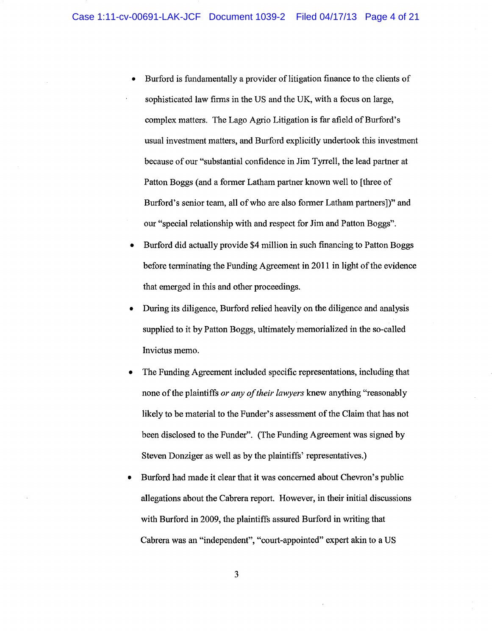- Burford is fundamentally a provider of litigation finance to the clients of sophisticated law firms in the US and the UK, with a focus on large, complex matters. The Lago Agrio Litigation is far afield of Burford's usual investment matters, and Burford explicitly undertook this investment because of our "substantial confidence in Jim Tyrrell, the lead partner at Patton Boggs (and a former Latham partner known well to [three of Burford's senior team, all of who are also former Latham partners])" and our "special relationship with and respect for Jim and Patton Boggs".
- Burford did actually provide \$4 million in such financing to Patton Boggs before terminating the Funding Agreement in 2011 in light of the evidence that emerged in this and other proceedings.
- During its diligence, Burford relied heavily on the diligence and analysis supplied to it by Patton Boggs, ultimately memorialized in the so-called Invictus memo.
- The Funding Agreement included specific representations, including that none of the plaintiffs *or any of their lawyers* knew anything "reasonably likely to be material to the Funder's assessment of the Claim that has not been disclosed to the Funder". (The Funding Agreement was signed by Steven Donziger as well as by the plaintiffs' representatives.)
- Burford had made it clear that it was concerned about Chevron's public allegations about the Cabrera report. However, in their initial discussions with Burford in 2009, the plaintiffs assured Burford in writing that Cabrera was an "independent", "court-appointed" expert akin to a US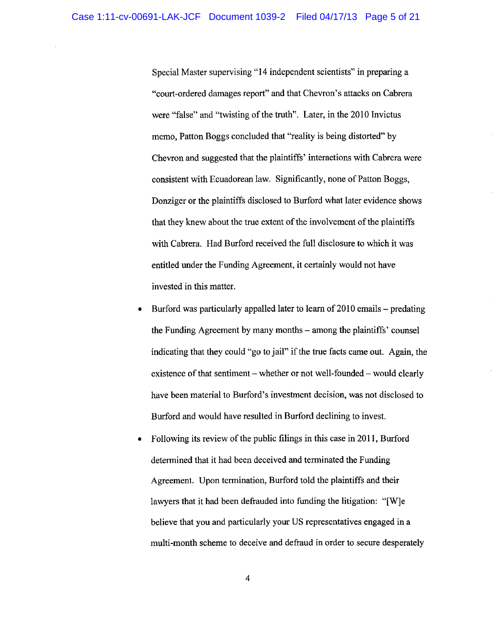Special Master supervising "14 independent scientists" in preparing a "court-ordered damages report" and that Chevron's attacks on Cabrera were "false" and "twisting of the truth". Later, in the 2010 Invictus memo, Patton Boggs concluded that "reality is being distorted" by Chevron and suggested that the plaintiffs' interactions with Cabrera were consistent with Ecuadorean law. Significantly, none of Patton Boggs, Donziger or the plaintiffs disclosed to Burford what later evidence shows that they knew about the true extent of the involvement of the plaintiffs with Cabrera. Had Burford received the full disclosure to which it was entitled under the Funding Agreement, it certainly would not have invested in this matter.

- Burford was particularly appalled later to learn of 2010 emails predating the Funding Agreement by many months- among the plaintiffs' counsel indicating that they could "go to jail" if the true facts carne out. Again, the existence of that sentiment – whether or not well-founded – would clearly have been material to Burford's investment decision, was not disclosed to Burford and would have resulted in Burford declining to invest.
- Following its review of the public filings in this case in 2011, Burford determined that it had been deceived and terminated the Funding Agreement. Upon termination, Burford told the plaintiffs and their lawyers that it had been defrauded into funding the litigation: "[W]e believe that you and particularly your US representatives engaged in a multi-month scheme to deceive and defraud in order to secure desperately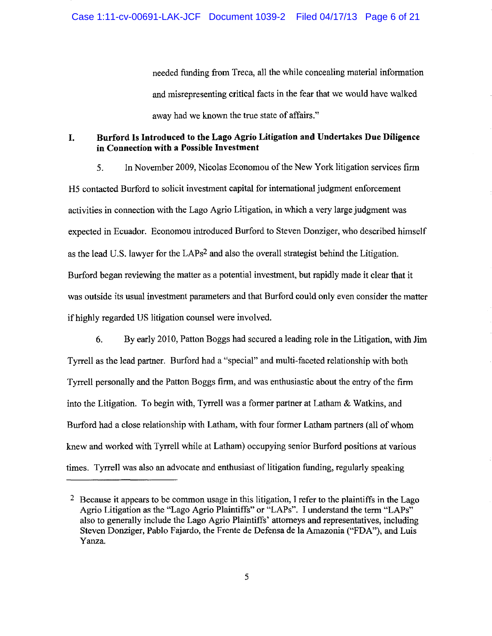needed funding from Treca, all the while concealing material information and misrepresenting critical facts in the fear that we would have walked away had we known the true state of affairs."

# I. Burford Is Introduced to the Lago Agrio Litigation and Undertakes Due Diligence in Connection with a Possible Investment

5. In November 2009, Nicolas Economou of the New York litigation services firm H5 contacted Burford to solicit investment capital for international judgment enforcement activities in connection with the Lago Agrio Litigation, in which a very large judgment was expected in Ecuador. Economou introduced Burford to Steven Donziger, who described himself as the lead U.S. lawyer for the LAPs2 and also the overall strategist behind the Litigation. Burford began reviewing the matter as a potential investment, but rapidly made it clear that it was outside its usual investment parameters and that Burford could only even consider the matter if highly regarded US litigation counsel were involved.

6. By early 2010, Patton Boggs had secured a leading role in the Litigation, with Jim Tyrrell as the lead partner. Burford had a "special" and multi-faceted relationship with both Tyrrell personally and the Patton Boggs firm, and was enthusiastic about the entry of the firm into the Litigation. To begin with, Tyrrell was a former partner at Latham & Watkins, and Burford had a close relationship with Latham, with four former Latham partners (all of whom knew and worked with Tyrrell while at Latham) occupying senior Burford positions at various times. Tyrrell was also an advocate and enthusiast of litigation funding, regularly speaking

<sup>&</sup>lt;sup>2</sup> Because it appears to be common usage in this litigation, I refer to the plaintiffs in the Lago Agrio Litigation as the "Lago Agrio Plaintiffs" or "LAPs". I understand the term "LAPs" also to generally include the Lago Agrio Plaintiffs' attorneys and representatives, including Steven Donziger, Pablo Fajardo, the Frente de Defensa de la Amazonia ("FDA"), and Luis Yanza.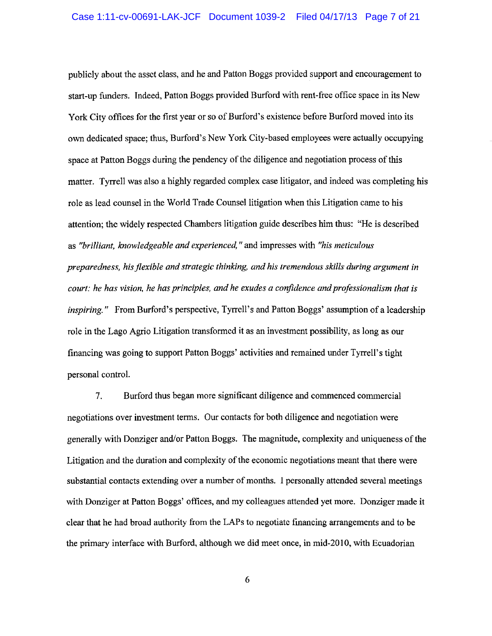publicly about the asset class, and he and Patton Boggs provided support and encouragement to start-up funders. Indeed, Patton Boggs provided Burford with rent-free office space in its New York City offices for the first year or so of Burford's existence before Burford moved into its own dedicated space; thus, Burford's New York City-based employees were actually occupying space at Patton Boggs during the pendency of the diligence and negotiation process of this matter. Tyrrell was also a highly regarded complex case litigator, and indeed was completing his role as lead counsel in the World Trade Counsel litigation when this Litigation came to his attention; the widely respected Chambers litigation guide describes him thus: "He is described as *"brilliant, knowledgeable and experienced,"* and impresses with *"his meticulous preparedness, his flexible and strategic thinking, and his tremendous skills during argument in court: he has vision, he has principles, and he exudes a confidence and professionalism that is inspiring."* From Burford's perspective, Tyrrell's and Patton Boggs' assumption of a leadership role in the Lago Agrio Litigation transformed it as an investment possibility, as long as our financing was going to support Patton Boggs' activities and remained under Tyrrell's tight personal control.

7. Burford thus began more significant diligence and commenced commercial negotiations over investment terms. Our contacts for both diligence and negotiation were generally "With Danziger and/or Patton Boggs. The magnitude, complexity and uniqueness of the Litigation and the duration and complexity of the economic negotiations meant that there were substantial contacts extending over a number of months. 1 personally attended several meetings with Donziger at Patton Boggs' offices, and my colleagues attended yet more. Donziger made it clear that he had broad authority from the LAPs to negotiate financing arrangements and to be the primary interface with Burford, although we did meet once, in mid-2010, with Ecuadorian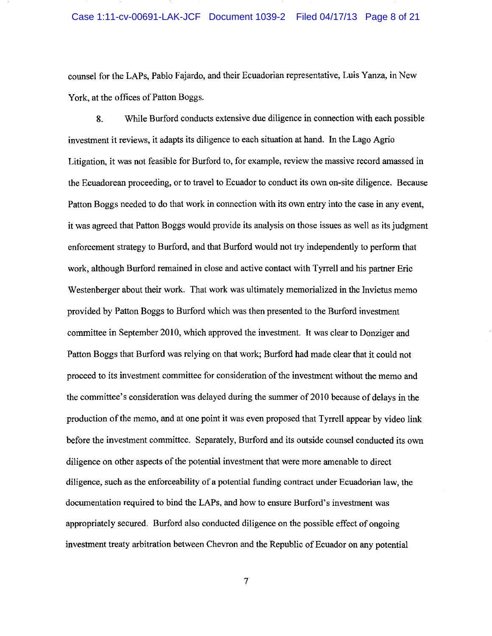#### Case 1:11-cv-00691-LAK-JCF Document 1039-2 Filed 04/17/13 Page 8 of 21

counsel for the LAPs, Pablo Fajardo, and their Ecuadorian representative, Luis Yanza, in New York, at the offices of Patton Boggs.

8. While Burford conducts extensive due diligence in connection with each possible investment it reviews, it adapts its diligence to each situation at hand. In the Lago Agrio Litigation, it was not feasible for Burford to, for example, review the massive record amassed in the Ecuadorean proceeding, or to travel to Ecuador to conduct its own on-site diligence. Because Patton Boggs needed to do that work in connection with its own entry into the case in any event, it was agreed that Patton Boggs would provide its analysis on those issues as well as its judgment enforcement strategy to Burford, and that Burford would not try independently to perform that work, although Burford remained in close and active contact with Tyrrell and his partner Eric Westenberger about their work. That work was ultimately memorialized in the Invictus memo provided by Patton Boggs to Burford which was then presented to the Burford investment committee in September 2010, which approved the investment. It was clear to Danziger and Patton Boggs that Burford was relying on that work; Burford had made clear that it could not proceed to its investment committee for consideration of the investment without the memo and the committee's consideration was delayed during the summer of 2010 because of delays in the production of the memo, and at one point it was even proposed that Tyrrell appear by video link before the investment committee. Separately, Burford and its outside counsel conducted its own diligence on other aspects of the potential investment that were more amenable to direct diligence, such as the enforceability of a potential funding contract under Ecuadorian law, the documentation required to bind the LAPs, and how to ensure Burford's investment was appropriately secured. Burford also conducted diligence on the possible effect of ongoing investment treaty arbitration between Chevron and the Republic of Ecuador on any potential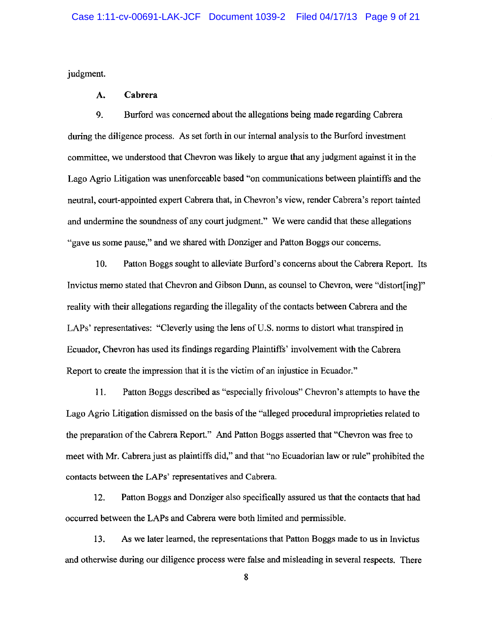judgment.

#### **A. Cabrera**

9. Burford was concerned about the allegations being made regarding Cabrera during the diligence process. As set forth in our internal analysis to the Burford investment committee, we understood that Chevron was likely to argue that any judgment against it in the Lago Agrio Litigation was unenforceable based "on communications between plaintiffs and the neutral, court-appointed expert Cabrera that, in Chevron's view, render Cabrera's report tainted and undermine the soundness of any court judgment." We were candid that these allegations «gave us some pause," and we shared with Danziger and Patton Boggs our concerns.

10. Patton Boggs sought to alleviate Burford's concerns about the Cabrera Report. Its Invictus memo stated that Chevron and Gibson Dunn, as counsel to Chevron, were "distort[ing]" reality with their allegations regarding the illegality of the contacts between Cabrera and the LAPs' representatives: "Cleverly using the lens of U.S. norms to distort what transpired in Ecuador, Chevron has used its findings regarding Plaintiffs' involvement with the Cabrera Report to create the impression that it is the victim of an injustice in Ecuador."

11. Patton Boggs described as "especially frivolous" Chevron's attempts to have the Lago Agrio Litigation dismissed on the basis of the "alleged procedural improprieties related to the preparation of the Cabrera Report." And Patton Boggs asserted that "Chevron was free to meet with Mr. Cabrera just as plaintiffs did," and that "no Ecuadorian law or rule" prohibited the contacts between the LAPs' representatives and Cabrera.

12. Patton Boggs and Danziger also specifically assured us that the contacts that had occurred between the LAPs and Cabrera were both limited and permissible.

13. As we later learned, the representations that Patton Boggs made to us in Invictus and otherwise during our diligence process were false and misleading in several respects. There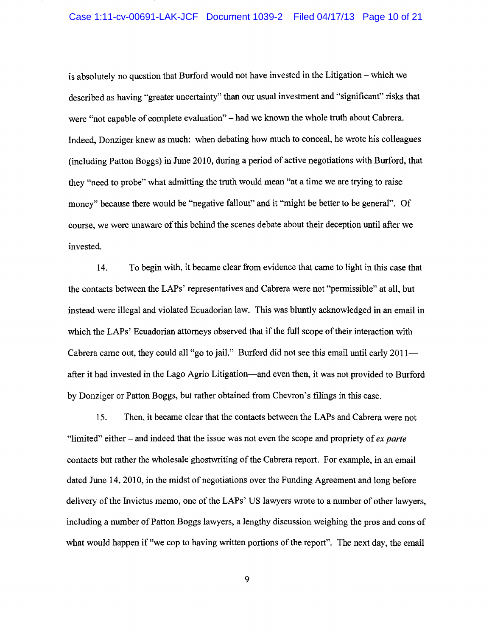#### Case 1:11-cv-00691-LAK-JCF Document 1039-2 Filed 04/17/13 Page 10 of 21

is absolutely no question that Burford would not have invested in the Litigation - which we described as having "greater uncertainty" than our usual investment and "significant" risks that were "not capable of complete evaluation"- had we known the whole truth about Cabrera. Indeed, Danziger knew as much: when debating how much to conceal, he wrote his colleagues (including Patton Boggs) in June 2010, during a period of active negotiations with Burford, that they "need to probe" what admitting the truth would mean "at a time we are trying to raise money" because there would be "negative fallout" and it "might be better to be general". Of course, we were unaware of this behind the scenes debate about their deception until after we invested.

14. To begin with, it became clear from evidence that came to light in this case that the contacts between the LAPs' representatives and Cabrera were not "permissible" at all, but instead were illegal and violated Ecuadorian law. This was bluntly acknowledged in an email in which the LAPs' Ecuadorian attorneys observed that if the full scope of their interaction with Cabrera came out, they could all "go to jail." Burford did not see this email until early 2011after it had invested in the Lago Agrio Litigation—and even then, it was not provided to Burford by Donziger or Patton Boggs, but rather obtained from Chevron's filings in this case.

15. Then, it became clear that the contacts between the LAPs and Cabrera were not "limited" either- and indeed that the issue was not even the scope and propriety of *ex parte*  contacts but rather the wholesale ghostwriting of the Cabrera report. For example, in an email dated June 14, 2010, in the midst of negotiations over the Funding Agreement and long before delivery of the lnvictus memo, one of the LAPs' US lawyers wrote to a number of other lawyers, including a number of Patton Boggs lawyers, a lengthy discussion weighing the pros and cons of what would happen if "we cop to having written portions of the report". The next day, the email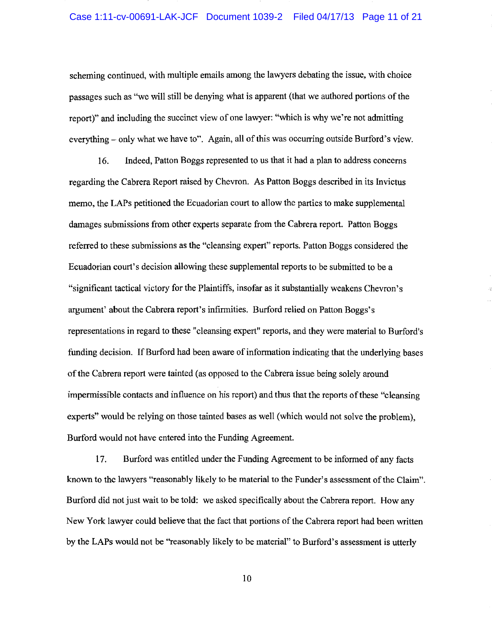#### Case 1:11-cv-00691-LAK-JCF Document 1039-2 Filed 04/17/13 Page 11 of 21

scheming continued, with multiple emails among the lawyers debating the issue, with choice passages such as "we will still be denying what is apparent (that we authored portions of the report)" and including the succinct view of one lawyer: "which is why we're not admitting everything - only what we have to". Again, all of this was occurring outside Burford's view.

16. Indeed, Patton Boggs represented to us that it had a plan to address concerns regarding the Cabrera Report raised by Chevron. As Patton Boggs described in its Invictus memo, the LAPs petitioned the Ecuadorian court to allow the parties to make supplemental damages submissions from other experts separate from the Cabrera report. Patton Boggs referred to these submissions as the "cleansing expert" reports. Patton Boggs considered the Ecuadorian court's decision allowing these supplemental reports to be submitted to be a "significant tactical victory for the Plaintiffs, insofar as it substantially weakens Chevron's argument' about the Cabrera report's infirmities. Burford relied on Patton Boggs's representations in regard to these "cleansing expert" reports, and they were material to Burford's funding decision. If Burford had been aware of information indicating that the underlying bases of the Cabrera report were tainted (as opposed to the Cabrera issue being solely around impermissible contacts and influence on his report) and thus that the reports of these "cleansing experts" would be relying on those tainted bases as well (which would not solve the problem), Burford would not have entered into the Funding Agreement.

17. Burford was entitled under the Funding Agreement to be informed of any facts known to the lawyers "reasonably likely to be material to the Funder's assessment ofthe Claim". Burford did not just wait to be told: we asked specifically about the Cabrera report. How any New York lawyer could believe that the fact that portions of the Cabrera report had been written by the LAPs would not be "reasonably likely to be material" to Burford's assessment is utterly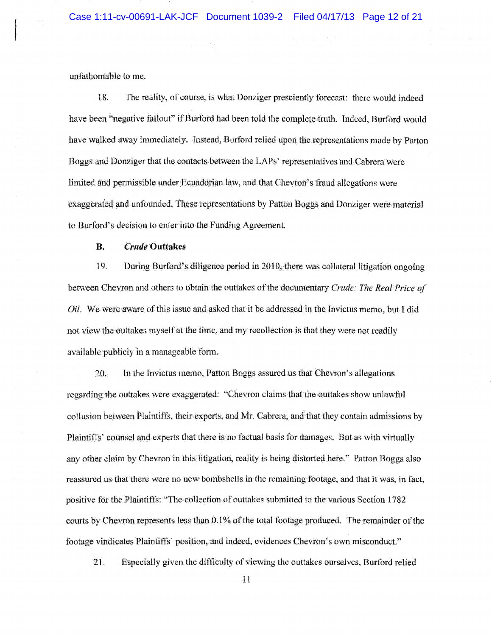unfathomable to me.

18. The reality, of course, is what Donziger presciently forecast: there would indeed have been "negative fallout" if Burford had been told the complete truth. Indeed, Burford would have walked away immediately. Instead, Burford retied upon the representations made by Patton Boggs and Donziger that the contacts between the LAPs' representatives and Cabrera \vere limited and permissible under Ecuadorian law, and that Chevron's fraud allegations were exaggerated and unfounded. These representations by Patton Boggs and Donziger were material to Burford's decision to enter into the Funding Agreement.

#### **B.** *Crude* **Outtakes**

19. During Burford's diligence period in 2010, there was collateral litigation ongoing between Chevron and others to obtain the outtakes of the documentary *Crude: The Real Price of*  OiL We were aware of this issue and asked that it be addressed in the Invictus memo, but l did not view the outtakes myself at the time, and my recollection is that they were not readily available publicly in a manageable form.

20. In the Invictus memo, Patton Boggs assured us that Chevron's allegations regarding the outtakes were exaggerated: "Chevron claims that the outtakes show unlawful collusion between Plaintiffs, their experts, and Mr. Cabrera, and that they contain admissions by Plaintiffs' counsel and experts that there is no factual basis for damages. But as with virtually any other claim by Chevron in this litigation, reality is being distorted here." Patton Boggs also reassured us that there were no new bombshells in the remaining footage, and that it was, in tact, positive for the Plaintiffs: "The collection of outtakes submitted to the various Section 1782 courts by Chevron represents less than O.l% of the total footage produced. The remainder of the footage vindicates Plaintiffs' position, and indeed, evidences Chevron's own misconduct."

21, Especially given the difficulty of viewing the outtakes ourselves, Burford relied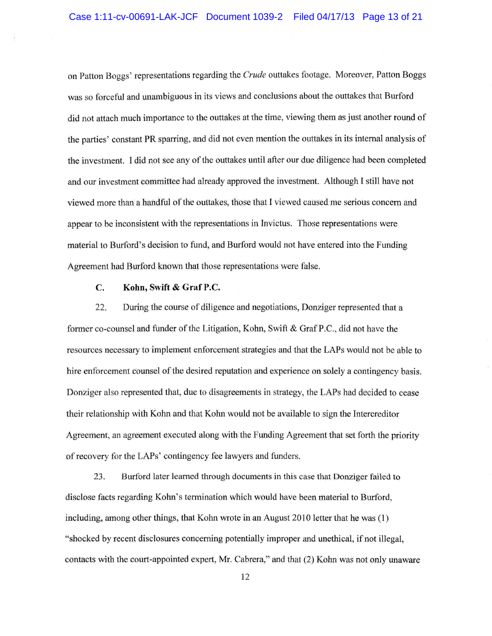on Patton Boggs' representations regarding the *Crude* outtakes footage, Moreover, Patton Boggs was so forceful and unambiguous in its views and conclusions about the outtakes that Burtbrd did not attach much importance to the outtakes at the time, viewing them as just another round of the parties' constant PR sparring, and did not even mention the outtakes in its internal analysis of the investment. I did not see any of the outtakes until alter our due diligence had been completed and our investment committee had already approved the investrnent. Although I still have not viewed more than a handful of the outtakes, those that 1 viewed caused me serious concern and appear to be inconsistent with the representations in Invictus. Those representations were material to Burford's decision to fund, and Burfhrd would not have entered into the Funding Agreement had Burford known that those representations were false.

#### **C. Kohn, Swift & GrafP.C.**

 $22.$ During the course of diligence and negotiations, Donziger represented that a former co-counsel and funder of the Litigation, Kohn, Swift & GrafP.C., did not have the resources necessary to implement enforcement strategies and that the LAPs would not be able to hire enforcement counsel of the desired reputation and experience on solely a contingency basis. Donziger also represented that, due to disagreements in strategy, the LAPs had decided to cease their relationship with Kohn and that Kohn would not be available to sign the Intercreditor Agreement, an agreement executed along with the Funding Agreement that set forth the priority of recovery for the LAPs' contingency fee lawyers and funders.

23. Burford later learned through documents in this case that Donziger failed to disclose facts regarding Kohn's termination which would have been material to Burford, including, among other things, that Kohn wrote in an August 2010 letter that he was (1) "shocked by recent disclosures concerning potentially improper and unethical, if not illegal, contacts with the court-appointed expert, Mr. Cabrera," and that (2) Kolm was not only unaware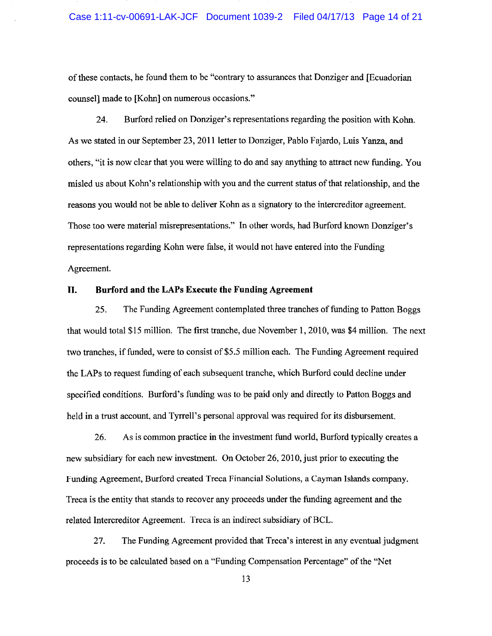of these contacts, he found them to be "contrary to assurances that Danziger and [Ecuadorian counsel] made to [Kohn] on numerous occasions."

24. Burford relied on Danziger's representations regarding the position with Kohn. As we stated in our September 23, 2011 letter to Donziger, Pablo Fajardo, Luis Yanza, and others, "it is now clear that you were willing to do and say anything to attract new funding. You misled us about Kohn's relationship with you and the current status of that relationship, and the reasons you would not be able to deliver Kohn as a signatory to the intercreditor agreement. Those too were material misrepresentations." In other words, had Burford known Donziger's representations regarding Kohn were false, it would not have entered into the Funding Agreement.

#### **II. Burford and the LAPs Execute the Funding Agreement**

25. The Funding Agreement contemplated three tranches of funding to Patton Boggs that would total \$15 million. The first tranche, due November **1,** 2010, was \$4 million. The next two tranches, if funded, were to consist of \$5.5 million each. The Funding Agreement required the LAPs to request funding of each subsequent tranche, which Burford could decline under specified conditions. Burford's funding was to be paid only and directly to Patton Boggs and held in a trust account, and Tyrrell's personal approval was required for its disbursement.

26. As is common practice in the investment fund world, Burford typically creates a new subsidiary for each new investment. On October 26, 2010, just prior to executing the Funding Agreement, Burford created Treca Financial Solutions, a Cayman Islands company. Treca is the entity that stands to recover any proceeds under the funding agreement and the related Intercreditor Agreement. Treca is an indirect subsidiary of BCL.

27. The Funding Agreement provided that Treca's interest in any eventual judgment proceeds is to be calculated based on a "Funding Compensation Percentage" of the "Net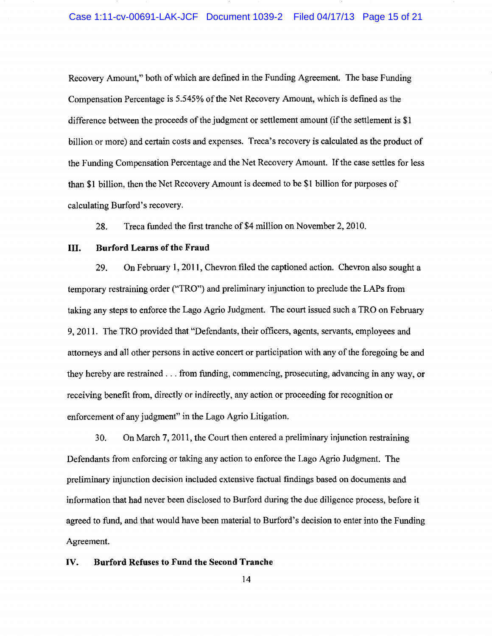Recovery Amount," both of which are defined in the Funding Agreement. The base Funding Compensation Percentage is 5.545% of the Net Recovery Amount, which is defined as the difference between the proceeds of the judgment or settlement amount (if the settlement is \$1 billion or more) and certain costs and expenses. Treca's recovery is calculated as the product of the Funding Compensation Percentage and the Net Recovery Amount. If the case settles for less than **\$1** billion, then the Net Recovery Amount is deemed to be \$1 billion for purposes of calculating Burford's recovery.

28. Treca funded the first tranche of \$4 million on November 2, 2010.

#### III. **Burford Learns of the Fraud**

29. On February 1, 2011 , Chevron tiled the captioned action. Chevron also sought a temporary restraining order ("TRO") and preliminary injunction to preclude the LAPs from taking any steps to enforce the Lago Agrio Judgment. The court issued such a TRO on February 9, 2011. The TRO provided that "Defendants, their officers, agents, servants, employees and attorneys and all other persons in active concert or participation with any of the foregoing be and they hereby are restrained  $\dots$  from funding, commencing, prosecuting, advancing in any way, or receiving benefit from, directly or indirectly, any action or proceeding for recognition or enforcement of any judgment" in the Lago Agrio Litigation.

30. On March 7, 2011, the Court then entered a preliminary injunction restraining Defendants from enforcing or taking any action to enforce the Lago Agrio Judgment. The preliminary injunction decision included extensive factual fmdings based on documents and information that had never been disclosed to Burford during the due diligence process, before it agreed to fund, and that would have been material to Burford's decision to enter into the Funding Agreement.

## **IV. Burford Refuses to Fund the Second Tranche**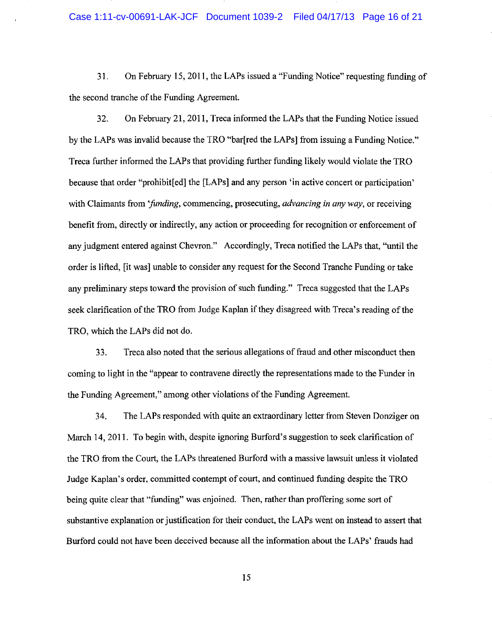31. On February 15, 2011, the LAPs issued a "Funding Notice" requesting funding of the second tranche of the Funding Agreement.

32. On February 21,2011, Treca infonned the LAPs that the Funding Notice issued by the LAPs was invalid because the TRO "bar[red the LAPs] from issuing a Funding Notice." Treca further infonned the LAPs that providing further funding likely would violate the TRO because that order "prohibit[ed] the [LAPs] and any person 'in active concert or participation' with Claimants from *"funding,* commencing, prosecuting, *advancing in any way,* or receiving benefit from, directly or indirectly, any action or proceeding for recognition or enforcement of any judgment entered against Chevron." Accordingly, Treca notified the LAPs that, "until the order is lifted, [it was] unable to consider any request for the Second Tranche Funding or take any preliminary steps toward the provision of such funding." Treca suggested that the LAPs seek clarification of the TRO from Judge Kaplan if they disagreed with Treca's reading of the TRO, which the LAPs did not do.

33. Treca also noted that the serious allegations of fraud and other misconduct then coming to light in the "appear to contravene directly the representations made to the Funder in the Funding Agreement," among other violations of the Funding Agreement.

34. The LAPs responded with quite an extraordinary letter from Steven Danziger on March 14, 2011. To begin with, despite ignoring Burford's suggestion to seek clarification of the TRO from the Court, the LAPs threatened Burford with a massive lawsuit unless it violated Judge Kaplan's order, committed contempt of court, and continued funding despite the TRO being quite clear that ''funding" was enjoined. Then, rather than proffering some sort of substantive explanation or justification for their conduct, the LAPs went on instead to assert that Burford could not have been deceived because all the infonnation about the LAPs' frauds had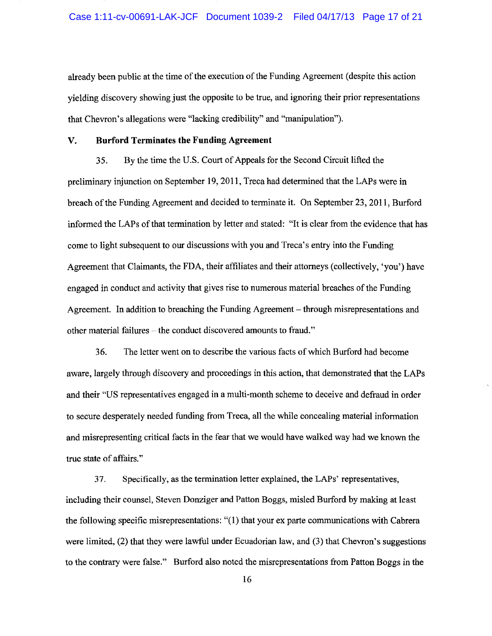already been public at the time of the execution of the Funding Agreement (despite this action yielding discovery showing just the opposite to be true, and ignoring their prior representations that Chevron's allegations were "lacking credibility" and "manipulation").

#### **V. Burford Terminates the Funding Agreement**

35. By the time the U.S. Court of Appeals for the Second Circuit lifted the preliminary injunction on September 19, 2011, Treca had determined that the LAPs were in breach ofthe Funding Agreement and decided to terminate it. On September 23,2011, Burford informed the LAPs of that termination by letter and stated: "It is clear from the evidence that has come to light subsequent to our discussions with you and Treca's entry into the Funding Agreement that Claimants, the FDA, their affiliates and their attorneys (collectively, 'you') have engaged in conduct and activity that gives rise to numerous material breaches of the Funding Agreement. In addition to breaching the Funding Agreement- through misrepresentations and other material failures- the conduct discovered amounts to fraud."

36. The letter went on to describe the various facts of which Burford had become aware, largely through discovery and proceedings in this action, that demonstrated that the LAPs and their "US representatives engaged in a multi-month scheme to deceive and defraud in order to secure desperately needed funding from Treca, all the while concealing material information and misrepresenting critical facts in the fear that we would have walked way had we known the true state of affairs."

37. Specifically, as the termination letter explained, the LAPs' representatives, including their counsel, Steven Danziger and Patton Boggs, misled Burford by making at least the following specific misrepresentations: "(1) that your ex parte communications with Cabrera were limited, (2) that they were lawful under Ecuadorian law, and (3) that Chevron's suggestions to the contrary were false." Burford also noted the misrepresentations from Patton Boggs in the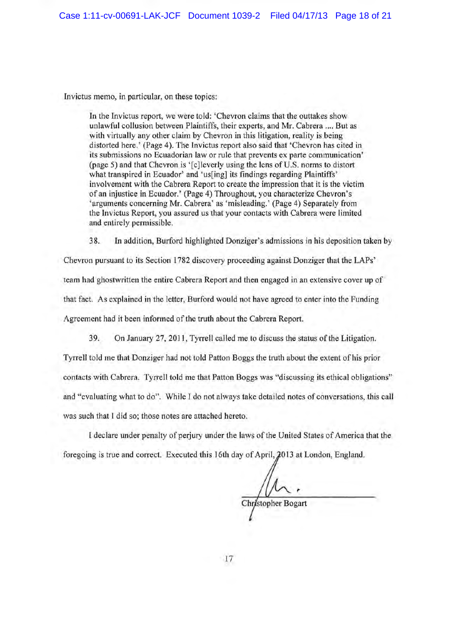Invictus memo, in particular, on these topics:

In the Invictus report, we were told: 'Chevron claims that the outtakes show unlawful collusion between Plaintiffs, their experts, and Mr. Cabrera .... But as with virtually any other claim by Chevron in this litigation, reality is being distorted here.' (Page 4). The Invictus report also said that 'Chevron has cited in its submissions no Ecuadorian law or rule that prevents ex parte communication' (page 5) and that Chevron is '[c]leverly using the lens of U.S. norms to distort what transpired in Ecuador' and 'us[ing] its findings regarding Plaintiffs' involvement with the Cabrera Report to create the impression that it is the victim of an injustice in Ecuador.' (Page 4) Throughout, you characterize Chevron's 'arguments concerning Mr. Cabrera' as 'misleading.' (Page 4) Separately from the Invictus Report, you assured us that your contacts with Cabrera were limited and entirely permissible.

38. In addition, Burford highlighted Danziger's admissions in his deposition taken by

Chevron pursuant to its Section 1782 discovery proceeding against Donziger that the LAPs' team had ghostwritten the entire Cabrera Report and then engaged in an extensive cover up of that fact. As explained in the letter, Burford would not have agreed to enter into the Funding Agreement had it been informed of the truth about the Cabrera Report.

39. On January 27, 2011, Tyrrell called me to discuss the status of the Litigation.

Tyrrell told me that Donziger had not told Patton Boggs the truth about the extent of his prior contacts with Cabrera. Tyrrell told me that Patton Boggs was "discussing its ethical obligations" and "evaluating what to do". While I do not always take detailed notes of conversations, this call was such that I did so; those notes are attached hereto.

I declare under penalty of perjury under the laws of the United States of America that the foregoing is true and correct. Executed this 16th day of April,  $2013$  at London, England.

,. Chr/stopher Bogart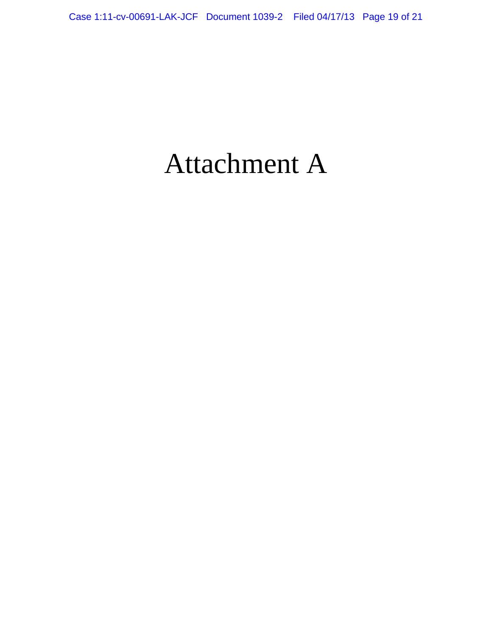# Attachment A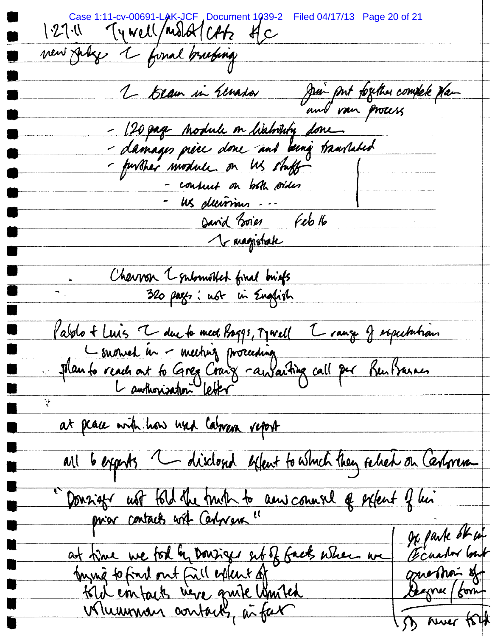Case 1:11-cv-00691-LAK-JCF Document 1039-2 Filed 04/17/13 Page 20 of 21<br>1.27.1 Ty Well / Molot CALZ &C vew July 1 fonal brushing Jui put fogether complete plan 2 beam in Elmanda - 120 page Module on histority done.<br>- damages price done and being travelated<br>- further module on Us stuff - consuit on both soider David Boies Feb 16 1 magistrate Cheuron 1 submotted final briefs<br>320 pages: not in English Pablo + Luis V du la med Baggs, Marell V range of espectation ÿ at peace with how hus laborer report all 6 exprts " disclosed effect to which they relied on Certonen "Donnieger ust told the truth to anniversal of extent of his De parte ot in at time we for by Donsiger entof facts when we Ecuator but ming to fond out fail extent of guession of 5 ruer tout